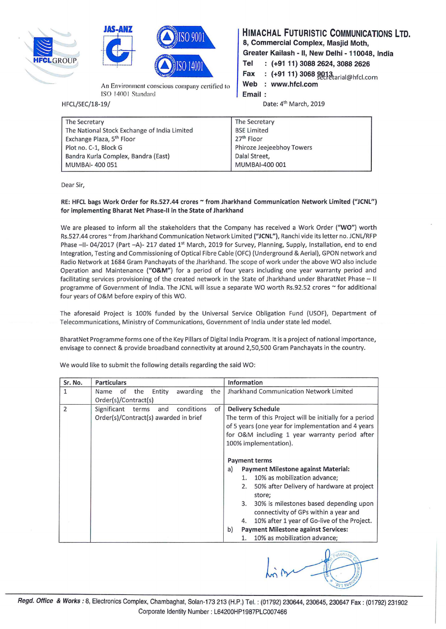





An Environment conscious company certified to ISO 14001 Standard

HFCL/SEC/18-19/

## HIMACHAL FUTURISTIC COMMUNICATIONS LTD.

8, Commercial Complex, Masjid Moth,

Greater Kailash - II, New Delhi - 110048, India

- Tel (+91 11) 3088 2624, 3088 2626
- Fax : (+91 11) 3068 9013<br>Web : www.hfcl.com

: www.hfcl.com

Email

Date: 4<sup>th</sup> March, 2019

| The Secretary                                | The Secretary             |
|----------------------------------------------|---------------------------|
| The National Stock Exchange of India Limited | <b>BSE Limited</b>        |
| Exchange Plaza, 5 <sup>th</sup> Floor        | 27 <sup>th</sup> Floor    |
| Plot no. C-1, Block G                        | Phiroze Jeejeebhoy Towers |
| Bandra Kurla Complex, Bandra (East)          | Dalal Street,             |
| MUMBAI-400051                                | MUMBAI-400 001            |
|                                              |                           |

Dear Sir,

## RE: HFCL bags Work Order for Rs.527.44 crores ~ from Jharkhand Communication Network Limited ("JCNL") for implementing Bharat Net Phase-11 in the State of Jharkhand

We are pleased to inform all the stakeholders that the Company has received a Work Order ("WO") worth Rs.527.44 crores ~ from Jharkhand Communication Network Limited ("JCNL"), Ranchi vide its letter no. JCNL/RFP Phase -II- 04/2017 (Part -A)- 217 dated 1<sup>st</sup> March, 2019 for Survey, Planning, Supply, Installation, end to end Integration, Testing and Commissioning of Optical Fibre Cable (OFC) (Underground & Aerial), GPON network and Radio Network at 1684 Gram Panchayats of the Jharkhand. The scope of work under the above WO also include Operation and Maintenance ("O&M") for a period of four years including one year warranty period and facilitating services provisioning of the created network in the State of Jharkhand under BharatNet Phase - II programme of Government of India. The JCNL will issue a separate WO worth Rs.92.52 crores  $\sim$  for additional four years of O&M before expiry of this WO.

The aforesaid Project is 100% funded by the Universal Service Obligation Fund (USOF), Department of Telecommunications, Ministry of Communications, Government of India under state led model.

BharatNet Programme forms one of the Key Pillars of Digital India Program. It is a project of national importance, envisage to connect & provide broadband connectivity at around 2,50,500 Gram Panchayats in the country.

| Sr. No.      | <b>Particulars</b>                              | Information                                             |
|--------------|-------------------------------------------------|---------------------------------------------------------|
| $\mathbf{1}$ | awarding<br>the<br>of<br>Entity<br>the<br>Name  | Jharkhand Communication Network Limited                 |
|              | Order(s)/Contract(s)                            |                                                         |
| 2            | conditions<br>of<br>Significant<br>terms<br>and | <b>Delivery Schedule</b>                                |
|              | Order(s)/Contract(s) awarded in brief           | The term of this Project will be initially for a period |
|              |                                                 | of 5 years (one year for implementation and 4 years     |
|              |                                                 | for O&M including 1 year warranty period after          |
|              |                                                 | 100% implementation).                                   |
|              |                                                 |                                                         |
|              |                                                 | <b>Payment terms</b>                                    |
|              |                                                 | <b>Payment Milestone against Material:</b><br>a)        |
|              |                                                 | 10% as mobilization advance;<br>1.                      |
|              |                                                 | 50% after Delivery of hardware at project<br>2.         |
|              |                                                 | store;                                                  |
|              |                                                 | 30% is milestones based depending upon<br>3.            |
|              |                                                 | connectivity of GPs within a year and                   |
|              |                                                 | 10% after 1 year of Go-live of the Project.<br>4.       |
|              | b)                                              | <b>Payment Milestone against Services:</b>              |
|              |                                                 | 10% as mobilization advance;<br>1.                      |
|              |                                                 |                                                         |

We would like to submit the following details regarding the said WO: